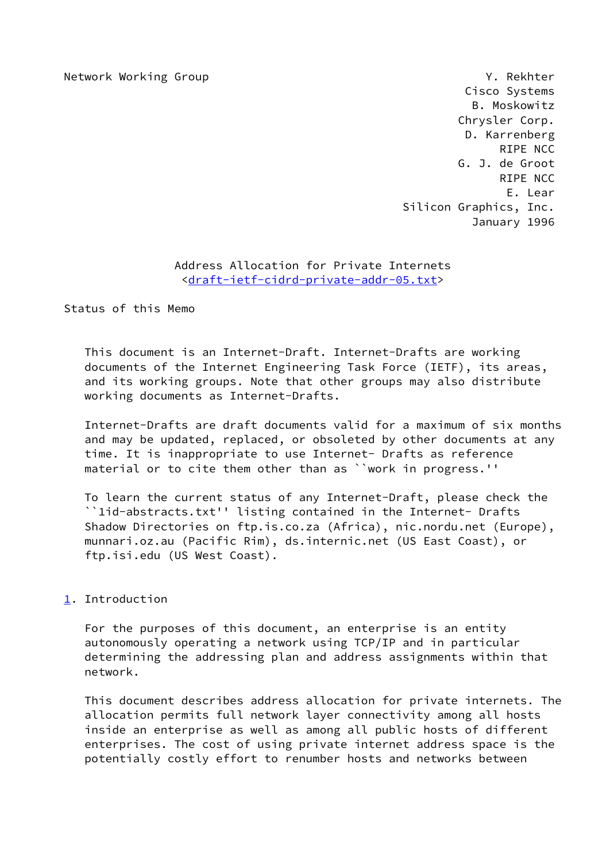Network Working Group **Y. Rekhter** 

 Cisco Systems B. Moskowitz Chrysler Corp. D. Karrenberg RIPE NCC G. J. de Groot RIPE NCC E. Lear Silicon Graphics, Inc. January 1996

## Address Allocation for Private Internets <[draft-ietf-cidrd-private-addr-05.txt>](https://datatracker.ietf.org/doc/pdf/draft-ietf-cidrd-private-addr-05.txt)

Status of this Memo

 This document is an Internet-Draft. Internet-Drafts are working documents of the Internet Engineering Task Force (IETF), its areas, and its working groups. Note that other groups may also distribute working documents as Internet-Drafts.

 Internet-Drafts are draft documents valid for a maximum of six months and may be updated, replaced, or obsoleted by other documents at any time. It is inappropriate to use Internet- Drafts as reference material or to cite them other than as ``work in progress.''

 To learn the current status of any Internet-Draft, please check the ``1id-abstracts.txt'' listing contained in the Internet- Drafts Shadow Directories on ftp.is.co.za (Africa), nic.nordu.net (Europe), munnari.oz.au (Pacific Rim), ds.internic.net (US East Coast), or ftp.isi.edu (US West Coast).

## <span id="page-0-0"></span>[1](#page-0-0). Introduction

 For the purposes of this document, an enterprise is an entity autonomously operating a network using TCP/IP and in particular determining the addressing plan and address assignments within that network.

 This document describes address allocation for private internets. The allocation permits full network layer connectivity among all hosts inside an enterprise as well as among all public hosts of different enterprises. The cost of using private internet address space is the potentially costly effort to renumber hosts and networks between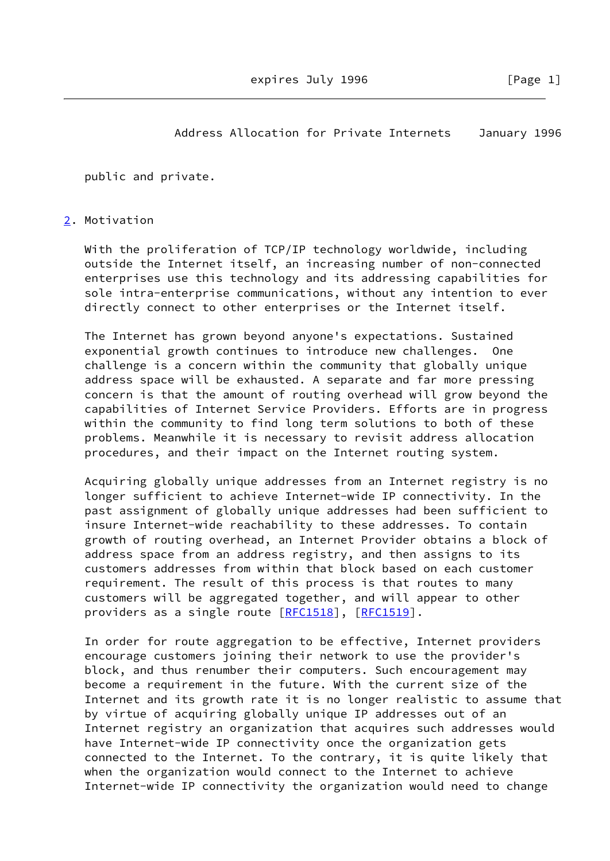## Address Allocation for Private Internets January 1996

public and private.

#### <span id="page-1-0"></span>[2](#page-1-0). Motivation

 With the proliferation of TCP/IP technology worldwide, including outside the Internet itself, an increasing number of non-connected enterprises use this technology and its addressing capabilities for sole intra-enterprise communications, without any intention to ever directly connect to other enterprises or the Internet itself.

 The Internet has grown beyond anyone's expectations. Sustained exponential growth continues to introduce new challenges. One challenge is a concern within the community that globally unique address space will be exhausted. A separate and far more pressing concern is that the amount of routing overhead will grow beyond the capabilities of Internet Service Providers. Efforts are in progress within the community to find long term solutions to both of these problems. Meanwhile it is necessary to revisit address allocation procedures, and their impact on the Internet routing system.

 Acquiring globally unique addresses from an Internet registry is no longer sufficient to achieve Internet-wide IP connectivity. In the past assignment of globally unique addresses had been sufficient to insure Internet-wide reachability to these addresses. To contain growth of routing overhead, an Internet Provider obtains a block of address space from an address registry, and then assigns to its customers addresses from within that block based on each customer requirement. The result of this process is that routes to many customers will be aggregated together, and will appear to other providers as a single route [\[RFC1518](https://datatracker.ietf.org/doc/pdf/rfc1518)], [\[RFC1519](https://datatracker.ietf.org/doc/pdf/rfc1519)].

 In order for route aggregation to be effective, Internet providers encourage customers joining their network to use the provider's block, and thus renumber their computers. Such encouragement may become a requirement in the future. With the current size of the Internet and its growth rate it is no longer realistic to assume that by virtue of acquiring globally unique IP addresses out of an Internet registry an organization that acquires such addresses would have Internet-wide IP connectivity once the organization gets connected to the Internet. To the contrary, it is quite likely that when the organization would connect to the Internet to achieve Internet-wide IP connectivity the organization would need to change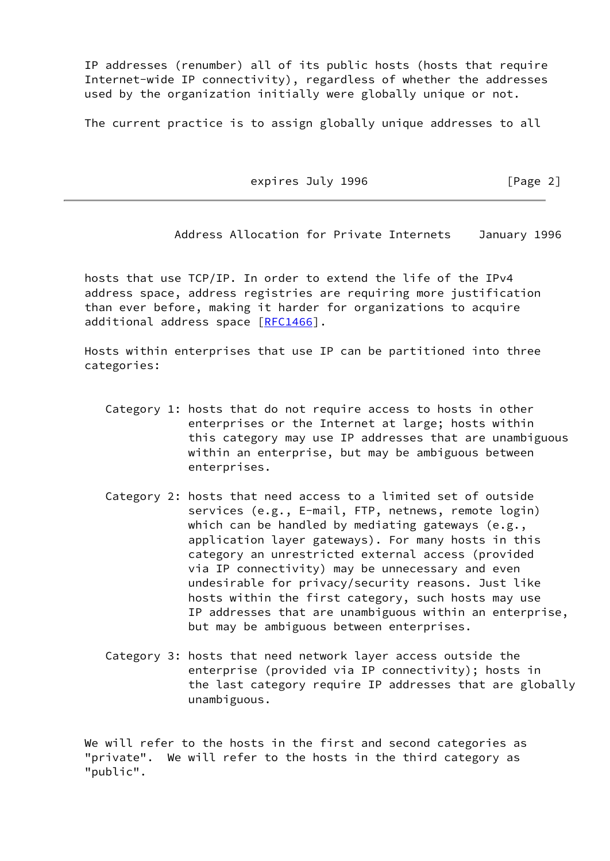IP addresses (renumber) all of its public hosts (hosts that require Internet-wide IP connectivity), regardless of whether the addresses used by the organization initially were globally unique or not.

The current practice is to assign globally unique addresses to all

expires July 1996 **[Page 2]** 

Address Allocation for Private Internets January 1996

 hosts that use TCP/IP. In order to extend the life of the IPv4 address space, address registries are requiring more justification than ever before, making it harder for organizations to acquire additional address space [\[RFC1466](https://datatracker.ietf.org/doc/pdf/rfc1466)].

 Hosts within enterprises that use IP can be partitioned into three categories:

- Category 1: hosts that do not require access to hosts in other enterprises or the Internet at large; hosts within this category may use IP addresses that are unambiguous within an enterprise, but may be ambiguous between enterprises.
- Category 2: hosts that need access to a limited set of outside services (e.g., E-mail, FTP, netnews, remote login) which can be handled by mediating gateways (e.g., application layer gateways). For many hosts in this category an unrestricted external access (provided via IP connectivity) may be unnecessary and even undesirable for privacy/security reasons. Just like hosts within the first category, such hosts may use IP addresses that are unambiguous within an enterprise, but may be ambiguous between enterprises.
- Category 3: hosts that need network layer access outside the enterprise (provided via IP connectivity); hosts in the last category require IP addresses that are globally unambiguous.

 We will refer to the hosts in the first and second categories as "private". We will refer to the hosts in the third category as "public".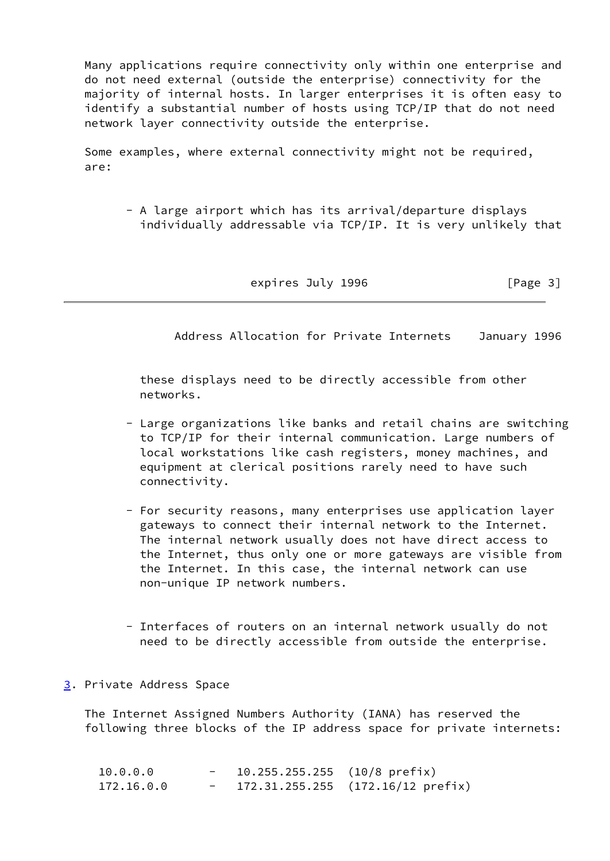Many applications require connectivity only within one enterprise and do not need external (outside the enterprise) connectivity for the majority of internal hosts. In larger enterprises it is often easy to identify a substantial number of hosts using TCP/IP that do not need network layer connectivity outside the enterprise.

 Some examples, where external connectivity might not be required, are:

 - A large airport which has its arrival/departure displays individually addressable via TCP/IP. It is very unlikely that

expires July 1996 [Page 3]

Address Allocation for Private Internets January 1996

 these displays need to be directly accessible from other networks.

- Large organizations like banks and retail chains are switching to TCP/IP for their internal communication. Large numbers of local workstations like cash registers, money machines, and equipment at clerical positions rarely need to have such connectivity.
- For security reasons, many enterprises use application layer gateways to connect their internal network to the Internet. The internal network usually does not have direct access to the Internet, thus only one or more gateways are visible from the Internet. In this case, the internal network can use non-unique IP network numbers.
- Interfaces of routers on an internal network usually do not need to be directly accessible from outside the enterprise.
- <span id="page-3-0"></span>[3](#page-3-0). Private Address Space

 The Internet Assigned Numbers Authority (IANA) has reserved the following three blocks of the IP address space for private internets:

| 10.0.0.0   | $\sim$ $\sim$ | $10.255.255.255$ (10/8 prefix) |                                   |
|------------|---------------|--------------------------------|-----------------------------------|
| 172.16.0.0 | $\sim$ $\sim$ |                                | 172.31.255.255 (172.16/12 prefix) |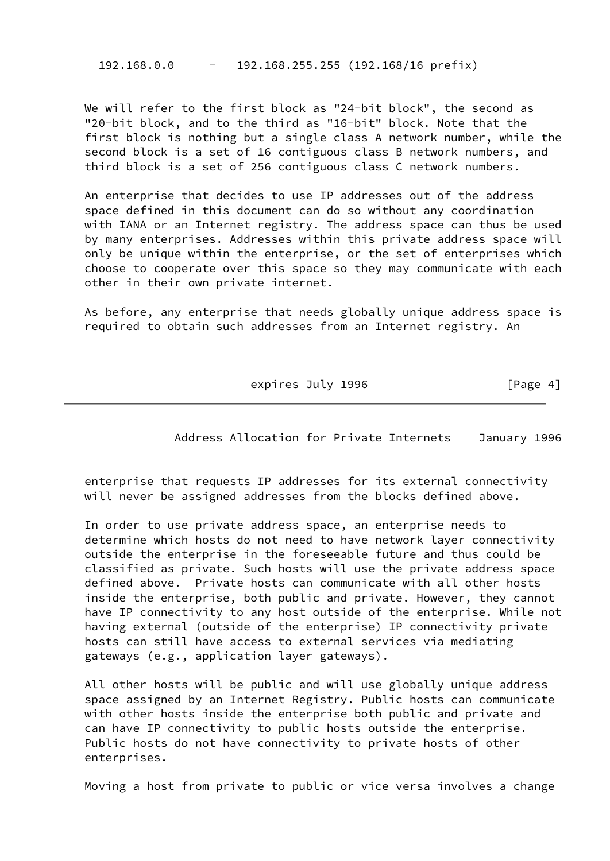192.168.0.0 - 192.168.255.255 (192.168/16 prefix)

 We will refer to the first block as "24-bit block", the second as "20-bit block, and to the third as "16-bit" block. Note that the first block is nothing but a single class A network number, while the second block is a set of 16 contiguous class B network numbers, and third block is a set of 256 contiguous class C network numbers.

 An enterprise that decides to use IP addresses out of the address space defined in this document can do so without any coordination with IANA or an Internet registry. The address space can thus be used by many enterprises. Addresses within this private address space will only be unique within the enterprise, or the set of enterprises which choose to cooperate over this space so they may communicate with each other in their own private internet.

 As before, any enterprise that needs globally unique address space is required to obtain such addresses from an Internet registry. An

expires July 1996 **[Page 4]** 

Address Allocation for Private Internets January 1996

 enterprise that requests IP addresses for its external connectivity will never be assigned addresses from the blocks defined above.

 In order to use private address space, an enterprise needs to determine which hosts do not need to have network layer connectivity outside the enterprise in the foreseeable future and thus could be classified as private. Such hosts will use the private address space defined above. Private hosts can communicate with all other hosts inside the enterprise, both public and private. However, they cannot have IP connectivity to any host outside of the enterprise. While not having external (outside of the enterprise) IP connectivity private hosts can still have access to external services via mediating gateways (e.g., application layer gateways).

 All other hosts will be public and will use globally unique address space assigned by an Internet Registry. Public hosts can communicate with other hosts inside the enterprise both public and private and can have IP connectivity to public hosts outside the enterprise. Public hosts do not have connectivity to private hosts of other enterprises.

Moving a host from private to public or vice versa involves a change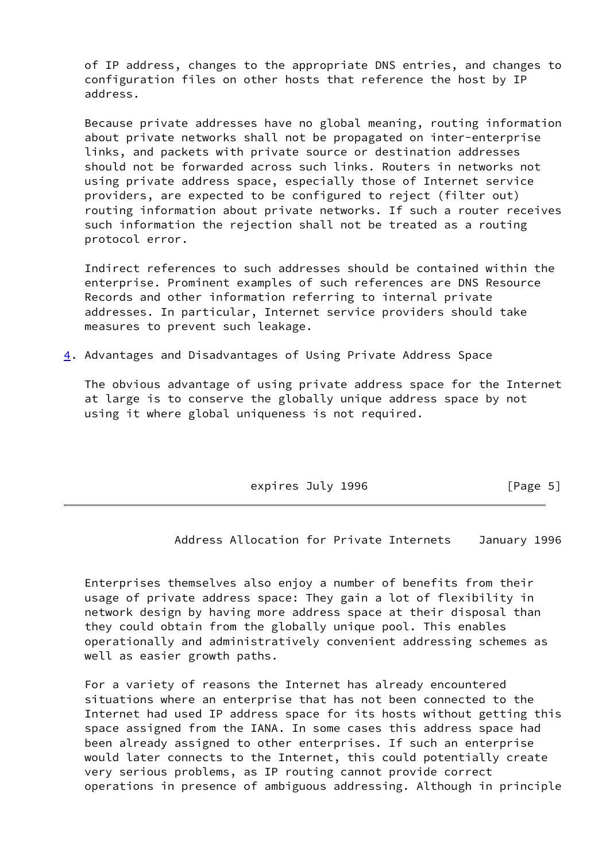of IP address, changes to the appropriate DNS entries, and changes to configuration files on other hosts that reference the host by IP address.

 Because private addresses have no global meaning, routing information about private networks shall not be propagated on inter-enterprise links, and packets with private source or destination addresses should not be forwarded across such links. Routers in networks not using private address space, especially those of Internet service providers, are expected to be configured to reject (filter out) routing information about private networks. If such a router receives such information the rejection shall not be treated as a routing protocol error.

 Indirect references to such addresses should be contained within the enterprise. Prominent examples of such references are DNS Resource Records and other information referring to internal private addresses. In particular, Internet service providers should take measures to prevent such leakage.

<span id="page-5-0"></span>[4](#page-5-0). Advantages and Disadvantages of Using Private Address Space

 The obvious advantage of using private address space for the Internet at large is to conserve the globally unique address space by not using it where global uniqueness is not required.

expires July 1996 **[Page 5]** 

Address Allocation for Private Internets January 1996

 Enterprises themselves also enjoy a number of benefits from their usage of private address space: They gain a lot of flexibility in network design by having more address space at their disposal than they could obtain from the globally unique pool. This enables operationally and administratively convenient addressing schemes as well as easier growth paths.

 For a variety of reasons the Internet has already encountered situations where an enterprise that has not been connected to the Internet had used IP address space for its hosts without getting this space assigned from the IANA. In some cases this address space had been already assigned to other enterprises. If such an enterprise would later connects to the Internet, this could potentially create very serious problems, as IP routing cannot provide correct operations in presence of ambiguous addressing. Although in principle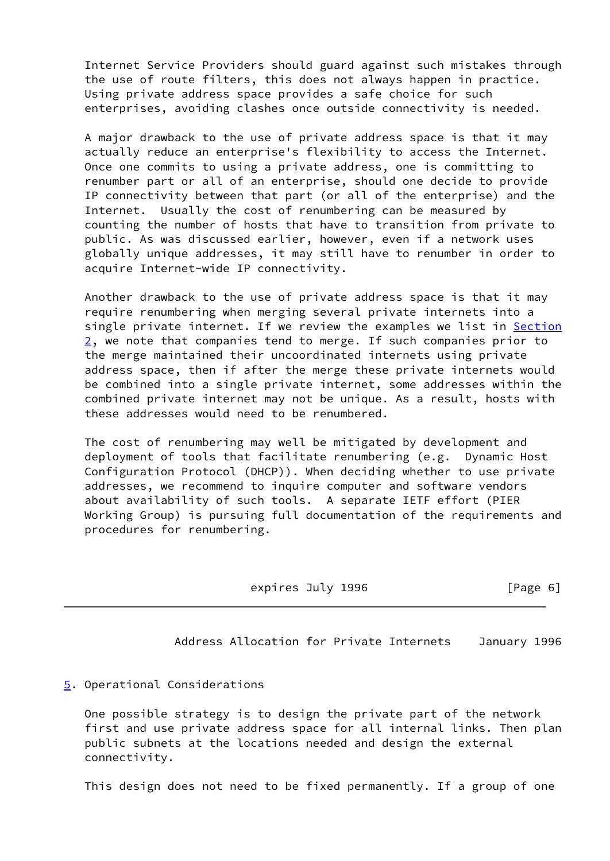Internet Service Providers should guard against such mistakes through the use of route filters, this does not always happen in practice. Using private address space provides a safe choice for such enterprises, avoiding clashes once outside connectivity is needed.

 A major drawback to the use of private address space is that it may actually reduce an enterprise's flexibility to access the Internet. Once one commits to using a private address, one is committing to renumber part or all of an enterprise, should one decide to provide IP connectivity between that part (or all of the enterprise) and the Internet. Usually the cost of renumbering can be measured by counting the number of hosts that have to transition from private to public. As was discussed earlier, however, even if a network uses globally unique addresses, it may still have to renumber in order to acquire Internet-wide IP connectivity.

 Another drawback to the use of private address space is that it may require renumbering when merging several private internets into a single private internet. If we review the examples we list in [Section](#page-1-0) [2](#page-1-0), we note that companies tend to merge. If such companies prior to the merge maintained their uncoordinated internets using private address space, then if after the merge these private internets would be combined into a single private internet, some addresses within the combined private internet may not be unique. As a result, hosts with these addresses would need to be renumbered.

 The cost of renumbering may well be mitigated by development and deployment of tools that facilitate renumbering (e.g. Dynamic Host Configuration Protocol (DHCP)). When deciding whether to use private addresses, we recommend to inquire computer and software vendors about availability of such tools. A separate IETF effort (PIER Working Group) is pursuing full documentation of the requirements and procedures for renumbering.

expires July 1996 [Page 6]

Address Allocation for Private Internets January 1996

## <span id="page-6-0"></span>[5](#page-6-0). Operational Considerations

 One possible strategy is to design the private part of the network first and use private address space for all internal links. Then plan public subnets at the locations needed and design the external connectivity.

This design does not need to be fixed permanently. If a group of one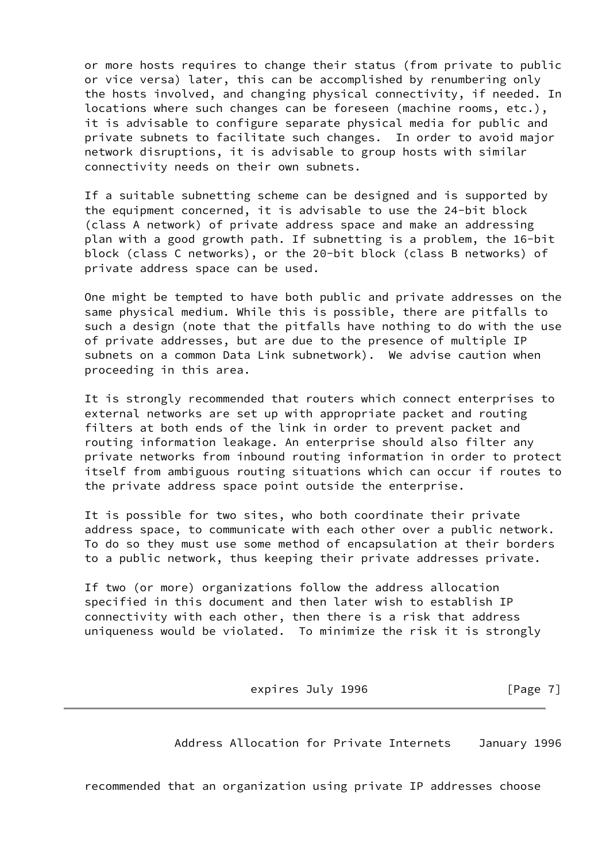or more hosts requires to change their status (from private to public or vice versa) later, this can be accomplished by renumbering only the hosts involved, and changing physical connectivity, if needed. In locations where such changes can be foreseen (machine rooms, etc.), it is advisable to configure separate physical media for public and private subnets to facilitate such changes. In order to avoid major network disruptions, it is advisable to group hosts with similar connectivity needs on their own subnets.

 If a suitable subnetting scheme can be designed and is supported by the equipment concerned, it is advisable to use the 24-bit block (class A network) of private address space and make an addressing plan with a good growth path. If subnetting is a problem, the 16-bit block (class C networks), or the 20-bit block (class B networks) of private address space can be used.

 One might be tempted to have both public and private addresses on the same physical medium. While this is possible, there are pitfalls to such a design (note that the pitfalls have nothing to do with the use of private addresses, but are due to the presence of multiple IP subnets on a common Data Link subnetwork). We advise caution when proceeding in this area.

 It is strongly recommended that routers which connect enterprises to external networks are set up with appropriate packet and routing filters at both ends of the link in order to prevent packet and routing information leakage. An enterprise should also filter any private networks from inbound routing information in order to protect itself from ambiguous routing situations which can occur if routes to the private address space point outside the enterprise.

 It is possible for two sites, who both coordinate their private address space, to communicate with each other over a public network. To do so they must use some method of encapsulation at their borders to a public network, thus keeping their private addresses private.

 If two (or more) organizations follow the address allocation specified in this document and then later wish to establish IP connectivity with each other, then there is a risk that address uniqueness would be violated. To minimize the risk it is strongly

expires July 1996 [Page 7]

Address Allocation for Private Internets January 1996

recommended that an organization using private IP addresses choose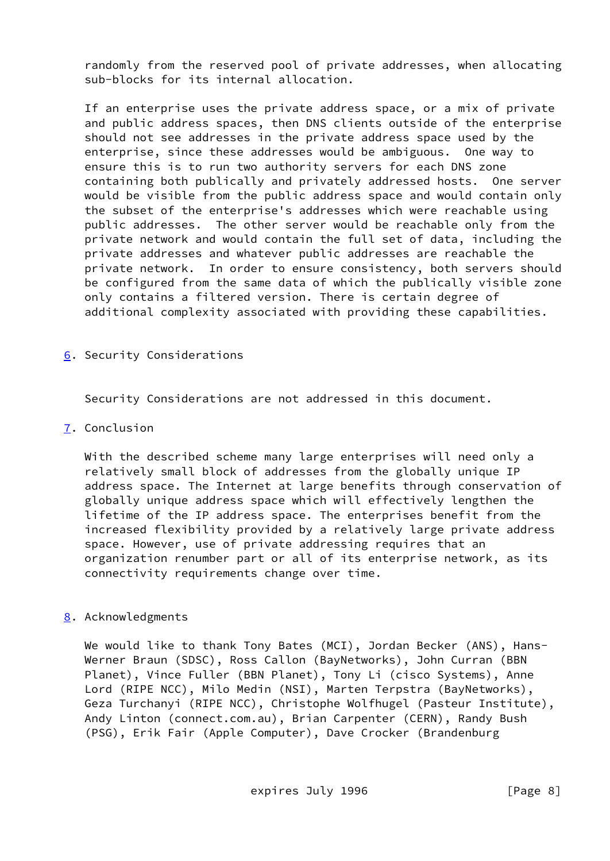randomly from the reserved pool of private addresses, when allocating sub-blocks for its internal allocation.

 If an enterprise uses the private address space, or a mix of private and public address spaces, then DNS clients outside of the enterprise should not see addresses in the private address space used by the enterprise, since these addresses would be ambiguous. One way to ensure this is to run two authority servers for each DNS zone containing both publically and privately addressed hosts. One server would be visible from the public address space and would contain only the subset of the enterprise's addresses which were reachable using public addresses. The other server would be reachable only from the private network and would contain the full set of data, including the private addresses and whatever public addresses are reachable the private network. In order to ensure consistency, both servers should be configured from the same data of which the publically visible zone only contains a filtered version. There is certain degree of additional complexity associated with providing these capabilities.

<span id="page-8-0"></span>[6](#page-8-0). Security Considerations

Security Considerations are not addressed in this document.

<span id="page-8-1"></span>[7](#page-8-1). Conclusion

 With the described scheme many large enterprises will need only a relatively small block of addresses from the globally unique IP address space. The Internet at large benefits through conservation of globally unique address space which will effectively lengthen the lifetime of the IP address space. The enterprises benefit from the increased flexibility provided by a relatively large private address space. However, use of private addressing requires that an organization renumber part or all of its enterprise network, as its connectivity requirements change over time.

<span id="page-8-2"></span>[8](#page-8-2). Acknowledgments

We would like to thank Tony Bates (MCI), Jordan Becker (ANS), Hans- Werner Braun (SDSC), Ross Callon (BayNetworks), John Curran (BBN Planet), Vince Fuller (BBN Planet), Tony Li (cisco Systems), Anne Lord (RIPE NCC), Milo Medin (NSI), Marten Terpstra (BayNetworks), Geza Turchanyi (RIPE NCC), Christophe Wolfhugel (Pasteur Institute), Andy Linton (connect.com.au), Brian Carpenter (CERN), Randy Bush (PSG), Erik Fair (Apple Computer), Dave Crocker (Brandenburg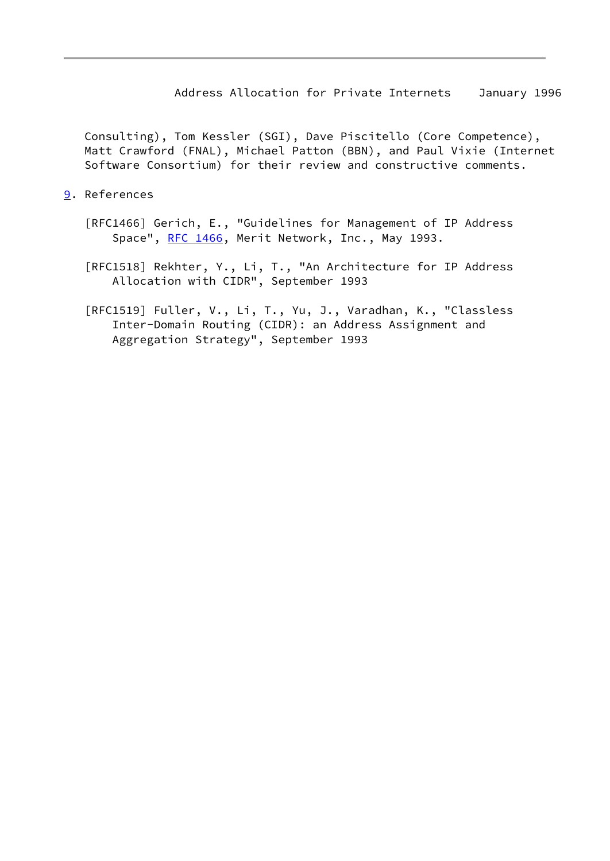Address Allocation for Private Internets January 1996

 Consulting), Tom Kessler (SGI), Dave Piscitello (Core Competence), Matt Crawford (FNAL), Michael Patton (BBN), and Paul Vixie (Internet Software Consortium) for their review and constructive comments.

- <span id="page-9-0"></span>[9](#page-9-0). References
	- [RFC1466] Gerich, E., "Guidelines for Management of IP Address Space", [RFC 1466,](https://datatracker.ietf.org/doc/pdf/rfc1466) Merit Network, Inc., May 1993.
	- [RFC1518] Rekhter, Y., Li, T., "An Architecture for IP Address Allocation with CIDR", September 1993
	- [RFC1519] Fuller, V., Li, T., Yu, J., Varadhan, K., "Classless Inter-Domain Routing (CIDR): an Address Assignment and Aggregation Strategy", September 1993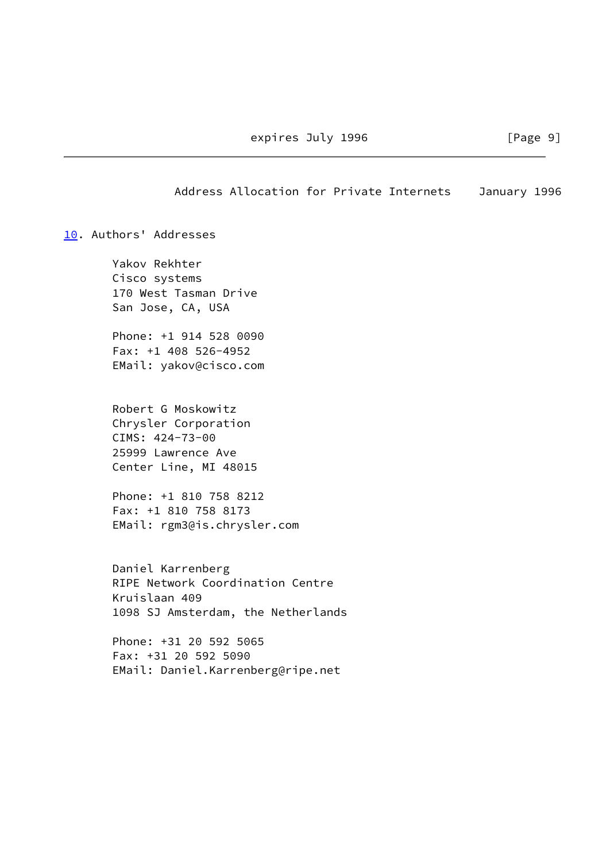# Address Allocation for Private Internets January 1996

<span id="page-10-0"></span>[10.](#page-10-0) Authors' Addresses

 Yakov Rekhter Cisco systems 170 West Tasman Drive San Jose, CA, USA

 Phone: +1 914 528 0090 Fax: +1 408 526-4952 EMail: yakov@cisco.com

 Robert G Moskowitz Chrysler Corporation CIMS: 424-73-00 25999 Lawrence Ave Center Line, MI 48015

 Phone: +1 810 758 8212 Fax: +1 810 758 8173 EMail: rgm3@is.chrysler.com

 Daniel Karrenberg RIPE Network Coordination Centre Kruislaan 409 1098 SJ Amsterdam, the Netherlands

 Phone: +31 20 592 5065 Fax: +31 20 592 5090 EMail: Daniel.Karrenberg@ripe.net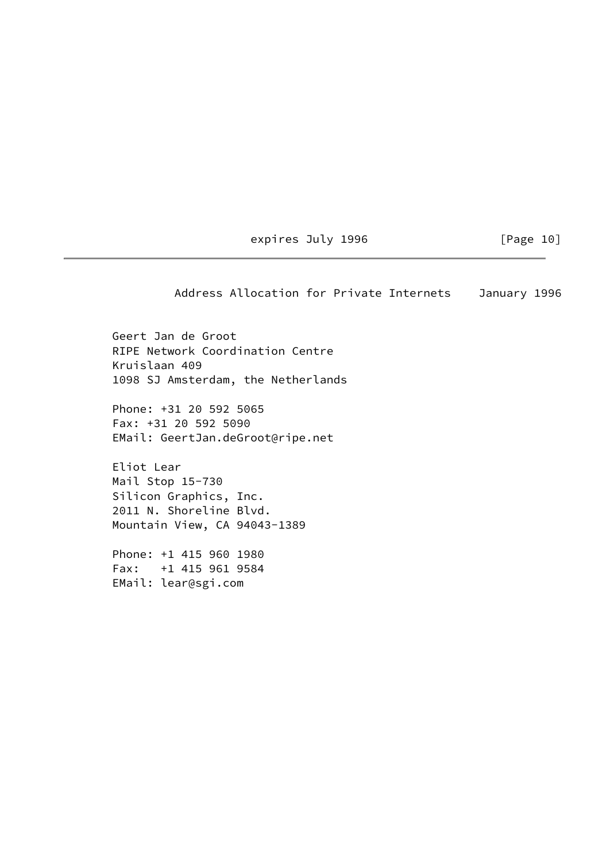expires July 1996 **[Page 10]** 

Address Allocation for Private Internets January 1996

 Geert Jan de Groot RIPE Network Coordination Centre Kruislaan 409 1098 SJ Amsterdam, the Netherlands

 Phone: +31 20 592 5065 Fax: +31 20 592 5090 EMail: GeertJan.deGroot@ripe.net

 Eliot Lear Mail Stop 15-730 Silicon Graphics, Inc. 2011 N. Shoreline Blvd. Mountain View, CA 94043-1389

 Phone: +1 415 960 1980 Fax: +1 415 961 9584 EMail: lear@sgi.com